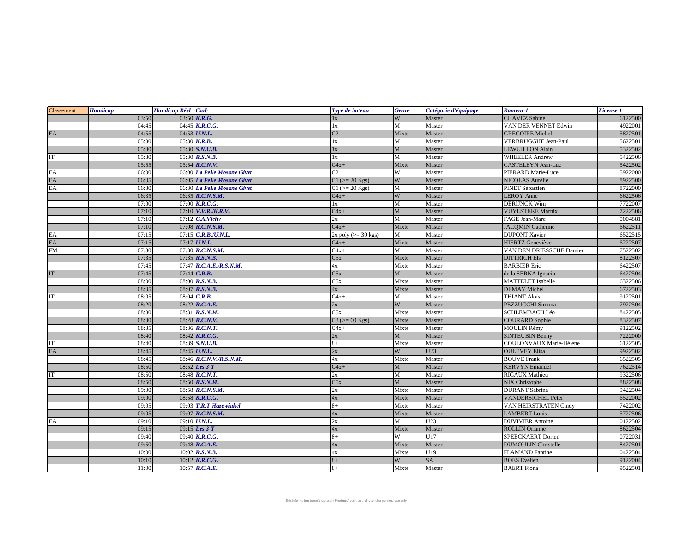| Classement                      | <b>Handicap</b> | Handicap Réel Club |                             | Type de bateau           | <b>Genre</b> | Catégorie d'équipage | Rameur 1                   | License 1 |
|---------------------------------|-----------------|--------------------|-----------------------------|--------------------------|--------------|----------------------|----------------------------|-----------|
|                                 | 03:50           |                    | 03:50 $K.R.G.$              | 1x                       | W            | Master               | <b>CHAVEZ</b> Sabine       | 6122500   |
|                                 | 04:45           |                    | 04:45 $K.R.C.G.$            | 1x                       | M            | Master               | VAN DER VENNET Edwin       | 4922001   |
| $\mathop{\mathrm{EA}}\nolimits$ | 04:55           |                    | 04:53 U.N.L.                | $\overline{C2}$          | Mixte        | Master               | <b>GREGOIRE Michel</b>     | 5822501   |
|                                 | 05:30           |                    | 05:30 K.R.B.                | 1x                       | M            | Master               | VERBRUGGHE Jean-Paul       | 5622501   |
|                                 | 05:30           |                    | 05:30 S.N.U.B.              | 1x                       | $\mathbf M$  | Master               | <b>LEWUILLON Alain</b>     | 5322502   |
| IT                              | 05:30           |                    | 05:30 R.S.N.B.              | 1x                       | M            | Master               | <b>WHEELER Andrew</b>      | 5422506   |
|                                 | 05:55           |                    | $05:54$ $R.C.N.V.$          | $C4x+$                   | Mixte        | Master               | CASTELEYN Jean-Luc         | 5422502   |
| EA                              | 06:00           |                    | 06:00 La Pelle Mosane Givet | $\overline{C2}$          | W            | Master               | PIERARD Marie-Luce         | 5922000   |
|                                 | 06:05           |                    | 06:05 La Pelle Mosane Givet | $C1$ ( $>= 20$ Kgs)      | W            | Master               | NICOLAS Aurélie            | 8922500   |
| EA<br>EA                        | 06:30           |                    | 06:30 La Pelle Mosane Givet | $C1$ ( $>= 20$ Kgs)      | M            | Master               | <b>PINET Sébastien</b>     | 8722000   |
|                                 | 06:35           |                    | 06:35 R.C.N.S.M.            | $C4x+$                   | W            | Master               | <b>LEROY Anne</b>          | 6622506   |
|                                 | 07:00           |                    | 07:00 $K.R.C.G.$            | 1x                       | M            | Master               | <b>DERIJNCK Wim</b>        | 7722007   |
|                                 | 07:10           |                    | 07:10 V.V.R./K.R.V.         | $C4x+$                   | M            | Master               | <b>VUYLSTEKE Marnix</b>    | 7222506   |
|                                 | 07:10           |                    | $07:12$ C.A.Vichy           | 2x                       | M            | Master               | FAGE Jean-Marc             | 0004881   |
|                                 | 07:10           |                    | 07:08 R.C.N.S.M.            | $C4x+$                   | Mixte        | Master               | <b>JACOMIN Catherine</b>   | 6622511   |
| EA<br>EA                        | 07:15           |                    | 07:15 C.R.B./U.N.L.         | $2x$ poly ( $>=$ 30 kgs) | M            | Master               | <b>DUPONT Xavier</b>       | 6522515   |
|                                 | 07:15           |                    | $07:17$ U.N.L.              | $C4x+$                   | Mixte        | Master               | <b>HIERTZ</b> Geneviève    | 6222507   |
| FM                              | 07:30           |                    | 07:30 R.C.N.S.M.            | $C4x+$                   | М            | Master               | VAN DEN DRIESSCHE Damien   | 7522502   |
|                                 | 07:35           |                    | 07:35 $R.S.N.B.$            | C5x                      | Mixte        | Master               | <b>DITTRICH Els</b>        | 8122507   |
|                                 | 07:45           |                    | 07:47 R.C.A.E./R.S.N.M.     | 4х                       | Mixte        | Master               | <b>BARBIER</b> Eric        | 6422507   |
| $\operatorname{IT}$             | 07:45           |                    | 07:44 $C.R.B.$              | C5x                      | M            | Master               | de la SERNA Ignacio        | 6422504   |
|                                 | 08:00           |                    | 08:00 R.S.N.B.              | $\overline{\text{C5x}}$  | Mixte        | Master               | <b>MATTELET</b> Isabelle   | 6322506   |
|                                 | 08:05           |                    | 08:07 R.S.N.B.              | 4x                       | Mixte        | Master               | <b>DEMAY</b> Michel        | 6722503   |
| IT                              | 08:05           |                    | 08:04 C.R.B.                | $C4x+$                   | M            | Master               | <b>THIANT Aloïs</b>        | 9122501   |
|                                 | 08:20           |                    | 08:22 R.C.A.E.              | 2x                       | W            | Master               | <b>PEZZUCCHI Simona</b>    | 7922504   |
|                                 | 08:30           |                    | 08:31 R.S.N.M.              | C5x                      | Mixte        | Master               | <b>SCHLEMBACH Léo</b>      | 8422505   |
|                                 | 08:30           |                    | 08:28 R.C.N.V.              | $C3 (= 60$ Kgs)          | Mixte        | Master               | <b>COURARD Sophie</b>      | 8322507   |
|                                 | 08:35           |                    | 08:36 R.C.N.T.              | $C4x+$                   | Mixte        | Master               | <b>MOULIN Rémy</b>         | 9122502   |
|                                 | 08:40           |                    | 08:42 K.R.C.G.              | 2x                       | $\mathbf M$  | Master               | <b>SINTEUBIN Benny</b>     | 7222000   |
| IT                              | 08:40           |                    | 08:39 S.N.U.B.              | $8+$                     | Mixte        | Master               | COULONVAUX Marie-Hélène    | 6122505   |
| $\mathop{\rm EA}\nolimits$      | 08:45           |                    | 08:45 U.N.L.                | 2x                       | W            | U23                  | <b>OULEVEY Elisa</b>       | 9922502   |
|                                 | 08:45           |                    | 08:46 R.C.N.V./R.S.N.M.     | 4х                       | Mixte        | Master               | <b>BOUVE Frank</b>         | 6522505   |
|                                 | 08:50           |                    | 08:52 Les 3 Y               | $C4x+$                   | $\mathbf M$  | Master               | <b>KERVYN</b> Emanuel      | 7622514   |
| IT                              | 08:50           |                    | 08:48 R.C.N.T.              | 2x                       | M            | Master               | RIGAUX Mathieu             | 9322506   |
|                                 | 08:50           |                    | 08:50 R.S.N.M.              | C5x                      | M            | Master               | <b>NIX Christophe</b>      | 8822508   |
|                                 | 09:00           |                    | 08:58 R.C.N.S.M.            | 2x                       | Mixte        | Master               | <b>DURANT Sabrina</b>      | 9422504   |
|                                 | 09:00           |                    | $08:58$ K.R.C.G.            | 4x                       | Mixte        | Master               | <b>VANDERSICHEL Peter</b>  | 6522002   |
|                                 | 09:05           |                    | 09:03 T.R.T Hazewinkel      | $8+$                     | Mixte        | Master               | VAN HEIRSTRATEN Cindy      | 7422002   |
|                                 | 09:05           |                    | 09:07 R.C.N.S.M.            | 4x                       | Mixte        | Master               | <b>LAMBERT</b> Louis       | 5722506   |
| EA                              | 09:10           |                    | 09:10 U.N.L.                | 2x                       | M            | U23                  | <b>DUVIVIER Antoine</b>    | 0122502   |
|                                 | 09:15           |                    | 09:15 <i>Les 3 Y</i>        | 4x                       | Mixte        | Master               | <b>ROLLIN Orianne</b>      | 8622504   |
|                                 | 09:40           |                    | 09:40 K.R.C.G.              | $8+$                     | W            | U17                  | <b>SPEECKAERT</b> Dorien   | 0722031   |
|                                 | 09:50           |                    | 09:48 R.C.A.E.              | 4x                       | Mixte        | Master               | <b>DUMOULIN Christelle</b> | 8422501   |
|                                 | 10:00           |                    | 10:02 R.S.N.B.              | 4x                       | Mixte        | U19                  | <b>FLAMAND</b> Fantine     | 0422504   |
|                                 | 10:10           |                    | $10:12$ <b>K.R.C.G.</b>     | $8+$                     | W            | SA                   | <b>BOES</b> Evelien        | 9122004   |
|                                 | 11:00           |                    | 10:57 $R.C.A.E.$            | $8+$                     | Mixte        | Master               | <b>BAERT</b> Fiona         | 9522501   |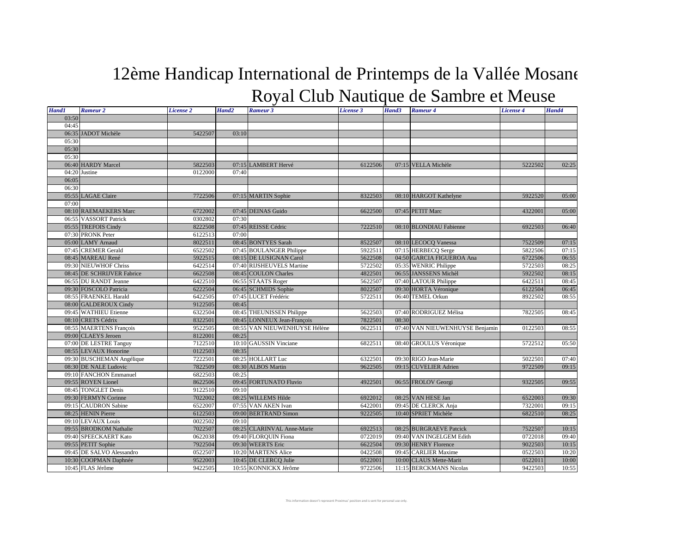## 12ème Handicap International de Printemps de la Vallée Mosane Royal Club Nautique de Sambre et Meuse

| <b>Hand1</b> | Rameur <sub>2</sub>                                | License 2          | Hand <sub>2</sub> | Rameur 3                                        | License 3          | Hand3 | Rameur 4                                         | License 4          | Hand4          |
|--------------|----------------------------------------------------|--------------------|-------------------|-------------------------------------------------|--------------------|-------|--------------------------------------------------|--------------------|----------------|
| 03:50        |                                                    |                    |                   |                                                 |                    |       |                                                  |                    |                |
| 04:45        |                                                    |                    |                   |                                                 |                    |       |                                                  |                    |                |
|              | 06:35 JADOT Michèle                                | 5422507            | 03:10             |                                                 |                    |       |                                                  |                    |                |
| 05:30        |                                                    |                    |                   |                                                 |                    |       |                                                  |                    |                |
| 05:30        |                                                    |                    |                   |                                                 |                    |       |                                                  |                    |                |
| 05:30        |                                                    |                    |                   |                                                 |                    |       |                                                  |                    |                |
|              | 06:40 HARDY Marcel                                 | 5822503            |                   | 07:15 LAMBERT Hervé                             | 6122506            |       | 07:15 VELLA Michèle                              | 5222502            | 02:25          |
|              | 04:20 Justine                                      | 0122000            | 07:40             |                                                 |                    |       |                                                  |                    |                |
| 06:05        |                                                    |                    |                   |                                                 |                    |       |                                                  |                    |                |
| 06:30        |                                                    |                    |                   |                                                 |                    |       |                                                  |                    |                |
|              | 05:55 LAGAE Claire                                 | 7722506            |                   | 07:15 MARTIN Sophie                             | 8322503            |       | 08:10 HARGOT Kathelyne                           | 5922520            | 05:00          |
| 07:00        |                                                    |                    |                   |                                                 |                    |       |                                                  |                    |                |
|              | 08:10 RAEMAEKERS Marc                              | 6722002            |                   | 07:45 DEINAS Guido                              | 6622500            |       | 07:45 PETIT Marc                                 | 4322001            | 05:00          |
|              | 06:55 VASSORT Patrick                              | 0302802            | 07:30             |                                                 |                    |       |                                                  |                    |                |
|              | 05:55 TREFOIS Cindy                                | 8222508            |                   | 07:45 REISSE Cédric                             | 7222510            |       | 08:10 BLONDIAU Fabienne                          | 6922503            | 06:40          |
|              | 07:30 PRONK Peter<br>05:00 LAMY Arnaud             | 6122513<br>8022511 | 07:00             |                                                 |                    |       |                                                  |                    |                |
|              | 07:45 CREMER Gerald                                | 6522502            |                   | 08:45 BONTYES Sarah<br>07:45 BOULANGER Philippe | 8522507<br>5922511 |       | 08:10 LECOCQ Vanessa                             | 7522509            | 07:15          |
|              | 08:45 MAREAU René                                  | 5922515            |                   | 08:15 DE LUSIGNAN Carol                         | 5622508            |       | 07:15 HERBECQ Serge<br>04:50 GARCIA FIGUEROA Ana | 5822506<br>6722506 | 07:15<br>06:55 |
|              | 09:30 NIEUWHOF Chriss                              | 6422514            |                   | 07:40 RIJSHEUVELS Martine                       | 5722502            |       | 05:35 WENRIC Philippe                            | 5722503            | 08:25          |
|              | 08:45 DE SCHRIJVER Fabrice                         | 6622508            |                   | 08:45 COULON Charles                            | 4822501            |       | 06:55 JANSSENS Michèl                            | 5922502            | 08:15          |
|              | 06:55 DU RANDT Jeanne                              | 6422510            |                   | 06:55 STAATS Roger                              | 5622507            |       | 07:40 LATOUR Philippe                            | 6422511            | 08:45          |
|              | 09:30 FOSCOLO Patricia                             | 6222504            |                   | 06:45 SCHMIDS Sophie                            | 8022507            |       | 09:30 HORTA Véronique                            | 6122504            | 06:45          |
|              | 08:55 FRAENKEL Harald                              | 6422505            |                   | 07:45 LUCET Frédéric                            | 5722511            |       | 06:40 TEMEL Orkun                                | 8922502            | 08:55          |
|              | 08:00 GALDEROUX Cindy                              | 9122505            | 08:45             |                                                 |                    |       |                                                  |                    |                |
|              | 09:45 WATHIEU Etienne                              | 6322504            |                   | 08:45 THEUNISSEN Philippe                       | 5622503            |       | 07:40 RODRIGUEZ Mélisa                           | 7822505            | 08:45          |
|              | 08:10 CRETS Cédrix                                 | 8322501            |                   | 08:45 LONNEUX Jean-François                     | 7822501            | 08:30 |                                                  |                    |                |
|              | 08:55 MAERTENS François                            | 9522505            |                   | 08:55 VAN NIEUWENHUYSE Hélène                   | 0622511            |       | 07:40 VAN NIEUWENHUYSE Benjamin                  | 0122503            | 08:55          |
|              | 09:00 CLAEYS Jeroen                                | 8122001            | 08:25             |                                                 |                    |       |                                                  |                    |                |
|              | 07:00 DE LESTRE Tanguy                             | 7122510            |                   | 10:10 GAUSSIN Vinciane                          | 6822511            |       | 08:40 GROULUS Véronique                          | 5722512            | 05:50          |
|              | 08:55 LEVAUX Honorine                              | 0122503            | 08:35             |                                                 |                    |       |                                                  |                    |                |
|              | 09:30 BUSCHEMAN Angélique                          | 7222501            |                   | 08:25 HOLLART Luc                               | 6322501            |       | 09:30 RIGO Jean-Marie                            | 5022501            | 07:40          |
|              | 08:30 DE NALE Ludovic                              | 7822509            |                   | 08:30 ALBOS Martin                              | 9622505            |       | 09:15 CUVELIER Adrien                            | 9722509            | 09:15          |
|              | 09:10 FANCHON Emmanuel                             | 6822503            | 08:25             |                                                 |                    |       |                                                  |                    |                |
|              | 09:55 ROYEN Lionel                                 | 8622506            |                   | 09:45 FORTUNATO Fluvio                          | 4922501            |       | 06:55 FROLOV Georgi                              | 9322505            | 09:55          |
|              | 08:45 TONGLET Denis                                | 9122510            | 09:10             |                                                 |                    |       |                                                  |                    |                |
|              | 09:30 FERMYN Corinne                               | 7022002            |                   | 08:25 WILLEMS Hilde                             | 6922012            |       | 08:25 VAN HESE Jan                               | 6522003            | 09:30          |
|              | 09:15 CAUDRON Sabine                               | 6522007            |                   | 07:55 VAN AKEN Ivan                             | 6422001            |       | 09:45 DE CLERCK Anja                             | 7322001            | 09:15          |
|              | 08:25 HENIN Pierre                                 | 6122503            |                   | 09:00 BERTRAND Simon                            | 9222505            |       | 10:40 SPRIET Michèle                             | 6822510            | 08:25          |
|              | 09:10 LEVAUX Louis                                 | 0022502            | 09:10             |                                                 |                    |       |                                                  |                    |                |
|              | 09:55 BRODKOM Nathalie                             | 7022507            |                   | 08:25 CLARINVAL Anne-Marie                      | 6922513            |       | 08:25 BURGRAEVE Patcick                          | 7522507            | 10:15          |
|              | 09:40 SPEECKAERT Kato                              | 0622038            |                   | 09:40 FLORQUIN Fiona                            | 0722019            |       | 09:40 VAN INGELGEM Edith                         | 0722018            | 09:40          |
|              | 09:55 PETIT Sophie                                 | 7922504            |                   | 09:30 WEERTS Eric                               | 6622504<br>0422508 |       | 09:30 HENRY Florence                             | 9022503<br>0522503 | 10:15          |
|              | 09:45 DE SALVO Alessandro<br>10:30 COOPMAN Daphnée | 0522507<br>9522003 |                   | 10:20 MARTENS Alice                             | 0522001            |       | 09:45 CARLIER Maxime<br>10:00 CLAUS Mette-Marit  | 0522011            | 10:20<br>10:00 |
|              | 10:45 FLAS Jérôme                                  | 9422505            |                   | 10:45 DE CLERCQ Julie<br>10:55 KONNICKX Jérôme  | 9722506            |       | 11:15 BERCKMANS Nicolas                          | 9422503            | 10:55          |
|              |                                                    |                    |                   |                                                 |                    |       |                                                  |                    |                |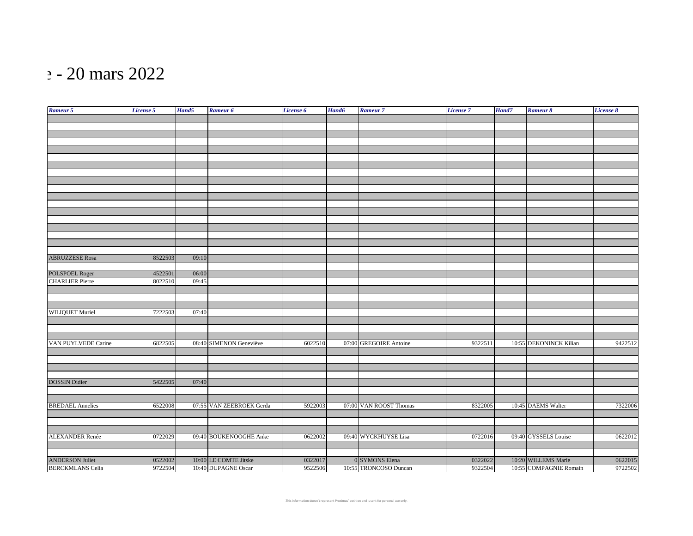## $\approx$  - 20 mars 2022

| Rameur 5                | License 5 | Hand5 | Rameur 6                 | License 6 | Hand6 | Rameur <sub>7</sub>    | License 7 | Hand7 | Rameur 8               | <b>License 8</b> |
|-------------------------|-----------|-------|--------------------------|-----------|-------|------------------------|-----------|-------|------------------------|------------------|
|                         |           |       |                          |           |       |                        |           |       |                        |                  |
|                         |           |       |                          |           |       |                        |           |       |                        |                  |
|                         |           |       |                          |           |       |                        |           |       |                        |                  |
|                         |           |       |                          |           |       |                        |           |       |                        |                  |
|                         |           |       |                          |           |       |                        |           |       |                        |                  |
|                         |           |       |                          |           |       |                        |           |       |                        |                  |
|                         |           |       |                          |           |       |                        |           |       |                        |                  |
|                         |           |       |                          |           |       |                        |           |       |                        |                  |
|                         |           |       |                          |           |       |                        |           |       |                        |                  |
|                         |           |       |                          |           |       |                        |           |       |                        |                  |
|                         |           |       |                          |           |       |                        |           |       |                        |                  |
|                         |           |       |                          |           |       |                        |           |       |                        |                  |
|                         |           |       |                          |           |       |                        |           |       |                        |                  |
|                         |           |       |                          |           |       |                        |           |       |                        |                  |
|                         |           |       |                          |           |       |                        |           |       |                        |                  |
|                         |           |       |                          |           |       |                        |           |       |                        |                  |
|                         |           |       |                          |           |       |                        |           |       |                        |                  |
|                         |           |       |                          |           |       |                        |           |       |                        |                  |
| <b>ABRUZZESE Rosa</b>   | 8522503   | 09:10 |                          |           |       |                        |           |       |                        |                  |
|                         |           |       |                          |           |       |                        |           |       |                        |                  |
| POLSPOEL Roger          | 4522501   | 06:00 |                          |           |       |                        |           |       |                        |                  |
| <b>CHARLIER Pierre</b>  | 8022510   | 09:45 |                          |           |       |                        |           |       |                        |                  |
|                         |           |       |                          |           |       |                        |           |       |                        |                  |
|                         |           |       |                          |           |       |                        |           |       |                        |                  |
|                         |           |       |                          |           |       |                        |           |       |                        |                  |
| WILIQUET Muriel         | 7222503   | 07:40 |                          |           |       |                        |           |       |                        |                  |
|                         |           |       |                          |           |       |                        |           |       |                        |                  |
|                         |           |       |                          |           |       |                        |           |       |                        |                  |
|                         |           |       |                          |           |       |                        |           |       |                        |                  |
| VAN PUYLVEDE Carine     | 6822505   |       | 08:40 SIMENON Geneviève  | 6022510   |       | 07:00 GREGOIRE Antoine | 9322511   |       | 10:55 DEKONINCK Kilian | 9422512          |
|                         |           |       |                          |           |       |                        |           |       |                        |                  |
|                         |           |       |                          |           |       |                        |           |       |                        |                  |
|                         |           |       |                          |           |       |                        |           |       |                        |                  |
|                         |           |       |                          |           |       |                        |           |       |                        |                  |
| <b>DOSSIN Didier</b>    | 5422505   | 07:40 |                          |           |       |                        |           |       |                        |                  |
|                         |           |       |                          |           |       |                        |           |       |                        |                  |
|                         |           |       |                          |           |       |                        |           |       |                        |                  |
| <b>BREDAEL Annelies</b> | 6522008   |       | 07:55 VAN ZEEBROEK Gerda | 5922003   |       | 07:00 VAN ROOST Thomas | 8322005   |       | 10:45 DAEMS Walter     | 7322006          |
|                         |           |       |                          |           |       |                        |           |       |                        |                  |
|                         |           |       |                          |           |       |                        |           |       |                        |                  |
|                         |           |       |                          |           |       |                        |           |       |                        |                  |
| <b>ALEXANDER Renée</b>  | 0722029   |       | 09:40 BOUKENOOGHE Anke   | 0622002   |       | 09:40 WYCKHUYSE Lisa   | 0722016   |       | 09:40 GYSSELS Louise   | 0622012          |
|                         |           |       |                          |           |       |                        |           |       |                        |                  |
|                         |           |       |                          |           |       |                        |           |       |                        |                  |
| <b>ANDERSON Juliet</b>  | 0522002   |       | 10:00 LE COMTE Jitske    | 0322017   |       | 0 SYMONS Elena         | 0322022   |       | 10:20 WILLEMS Marie    | 0622015          |
| <b>BERCKMLANS</b> Celia | 9722504   |       | 10:40 DUPAGNE Oscar      | 9522506   |       | 10:55 TRONCOSO Duncan  | 9322504   |       | 10:55 COMPAGNIE Romain | 9722502          |